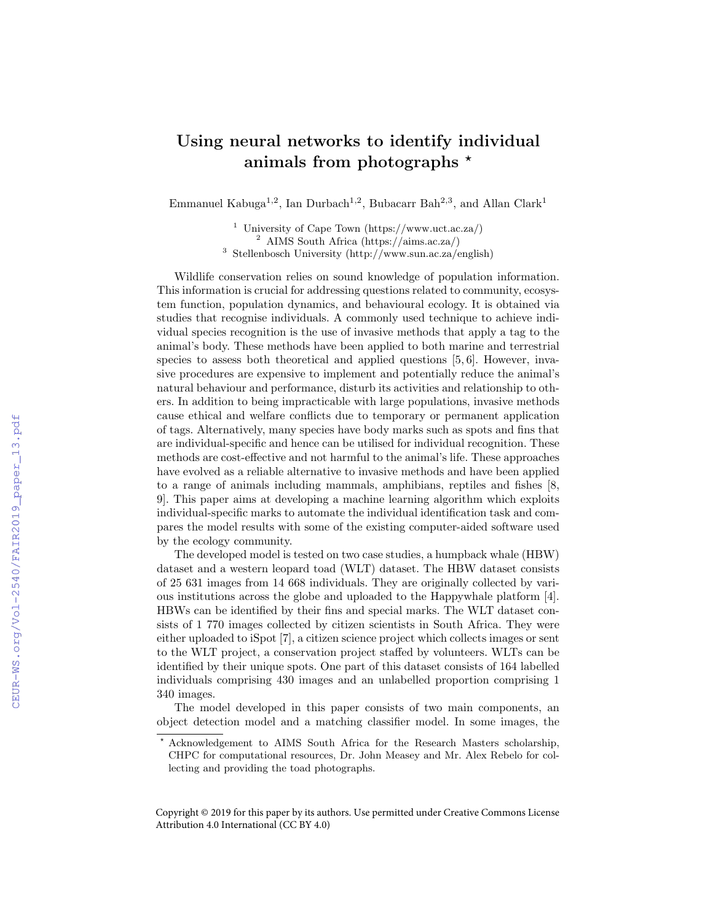## Using neural networks to identify individual animals from photographs  $*$

Emmanuel Kabuga<sup>1,2</sup>, Ian Durbach<sup>1,2</sup>, Bubacarr Bah<sup>2,3</sup>, and Allan Clark<sup>1</sup>

 $^1$ University of Cape Town (https://www.uct.ac.za/) <sup>2</sup> AIMS South Africa (https://aims.ac.za/) <sup>3</sup> Stellenbosch University (http://www.sun.ac.za/english)

Wildlife conservation relies on sound knowledge of population information. This information is crucial for addressing questions related to community, ecosystem function, population dynamics, and behavioural ecology. It is obtained via studies that recognise individuals. A commonly used technique to achieve individual species recognition is the use of invasive methods that apply a tag to the animal's body. These methods have been applied to both marine and terrestrial species to assess both theoretical and applied questions [5, 6]. However, invasive procedures are expensive to implement and potentially reduce the animal's natural behaviour and performance, disturb its activities and relationship to others. In addition to being impracticable with large populations, invasive methods cause ethical and welfare conflicts due to temporary or permanent application of tags. Alternatively, many species have body marks such as spots and fins that are individual-specific and hence can be utilised for individual recognition. These methods are cost-effective and not harmful to the animal's life. These approaches have evolved as a reliable alternative to invasive methods and have been applied to a range of animals including mammals, amphibians, reptiles and fishes [8, 9]. This paper aims at developing a machine learning algorithm which exploits individual-specific marks to automate the individual identification task and compares the model results with some of the existing computer-aided software used by the ecology community.

The developed model is tested on two case studies, a humpback whale (HBW) dataset and a western leopard toad (WLT) dataset. The HBW dataset consists of 25 631 images from 14 668 individuals. They are originally collected by various institutions across the globe and uploaded to the Happywhale platform [4]. HBWs can be identified by their fins and special marks. The WLT dataset consists of 1 770 images collected by citizen scientists in South Africa. They were either uploaded to iSpot [7], a citizen science project which collects images or sent to the WLT project, a conservation project staffed by volunteers. WLTs can be identified by their unique spots. One part of this dataset consists of 164 labelled individuals comprising 430 images and an unlabelled proportion comprising 1 340 images.

The model developed in this paper consists of two main components, an object detection model and a matching classifier model. In some images, the

Copyright © 2019 for this paper by its authors. Use permitted under Creative Commons License Attribution 4.0 International (CC BY 4.0)

<sup>?</sup> Acknowledgement to AIMS South Africa for the Research Masters scholarship, CHPC for computational resources, Dr. John Measey and Mr. Alex Rebelo for collecting and providing the toad photographs.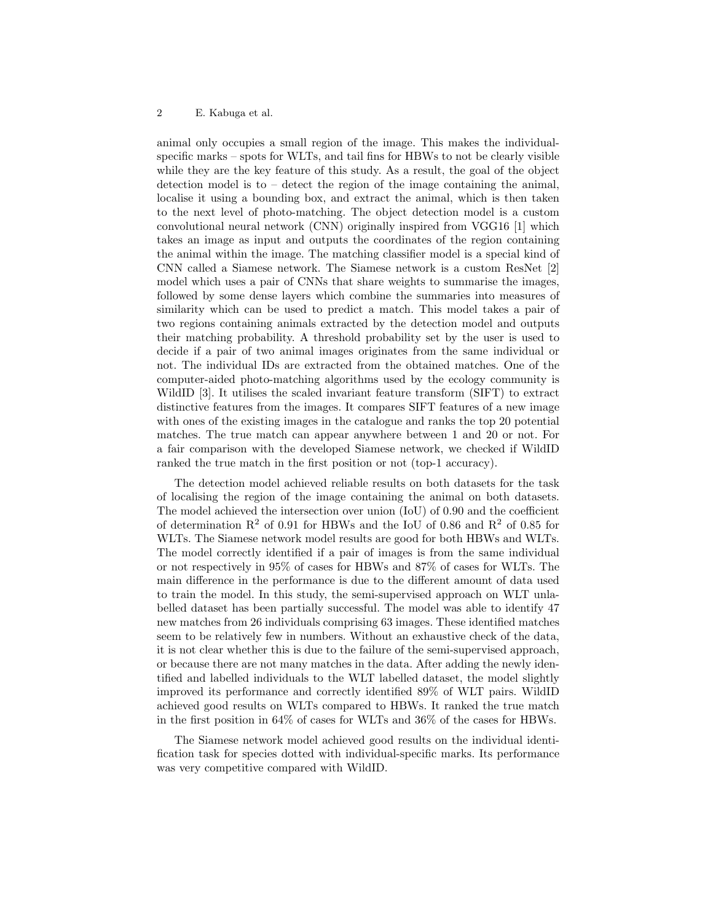## 2 E. Kabuga et al.

animal only occupies a small region of the image. This makes the individualspecific marks – spots for WLTs, and tail fins for HBWs to not be clearly visible while they are the key feature of this study. As a result, the goal of the object detection model is to – detect the region of the image containing the animal, localise it using a bounding box, and extract the animal, which is then taken to the next level of photo-matching. The object detection model is a custom convolutional neural network (CNN) originally inspired from VGG16 [1] which takes an image as input and outputs the coordinates of the region containing the animal within the image. The matching classifier model is a special kind of CNN called a Siamese network. The Siamese network is a custom ResNet [2] model which uses a pair of CNNs that share weights to summarise the images, followed by some dense layers which combine the summaries into measures of similarity which can be used to predict a match. This model takes a pair of two regions containing animals extracted by the detection model and outputs their matching probability. A threshold probability set by the user is used to decide if a pair of two animal images originates from the same individual or not. The individual IDs are extracted from the obtained matches. One of the computer-aided photo-matching algorithms used by the ecology community is WildID [3]. It utilises the scaled invariant feature transform (SIFT) to extract distinctive features from the images. It compares SIFT features of a new image with ones of the existing images in the catalogue and ranks the top 20 potential matches. The true match can appear anywhere between 1 and 20 or not. For a fair comparison with the developed Siamese network, we checked if WildID ranked the true match in the first position or not (top-1 accuracy).

The detection model achieved reliable results on both datasets for the task of localising the region of the image containing the animal on both datasets. The model achieved the intersection over union (IoU) of 0.90 and the coefficient of determination  $R^2$  of 0.91 for HBWs and the IoU of 0.86 and  $R^2$  of 0.85 for WLTs. The Siamese network model results are good for both HBWs and WLTs. The model correctly identified if a pair of images is from the same individual or not respectively in 95% of cases for HBWs and 87% of cases for WLTs. The main difference in the performance is due to the different amount of data used to train the model. In this study, the semi-supervised approach on WLT unlabelled dataset has been partially successful. The model was able to identify 47 new matches from 26 individuals comprising 63 images. These identified matches seem to be relatively few in numbers. Without an exhaustive check of the data, it is not clear whether this is due to the failure of the semi-supervised approach, or because there are not many matches in the data. After adding the newly identified and labelled individuals to the WLT labelled dataset, the model slightly improved its performance and correctly identified 89% of WLT pairs. WildID achieved good results on WLTs compared to HBWs. It ranked the true match in the first position in 64% of cases for WLTs and 36% of the cases for HBWs.

The Siamese network model achieved good results on the individual identification task for species dotted with individual-specific marks. Its performance was very competitive compared with WildID.